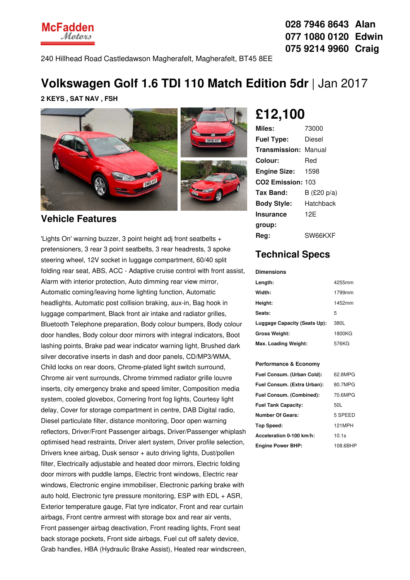

**028 7946 8643 Alan 077 1080 0120 Edwin 075 9214 9960 Craig**

240 Hillhead Road Castledawson Magherafelt, Magherafelt, BT45 8EE

# **Volkswagen Golf 1.6 TDI 110 Match Edition 5dr** |Jan 2017

**2 KEYS , SAT NAV , FSH**



### **Vehicle Features**

'Lights On' warning buzzer, 3 point height adj front seatbelts + pretensioners, 3 rear 3 point seatbelts, 3 rear headrests, 3 spoke steering wheel, 12V socket in luggage compartment, 60/40 split folding rear seat, ABS, ACC - Adaptive cruise control with front assist, Alarm with interior protection, Auto dimming rear view mirror, Automatic coming/leaving home lighting function, Automatic headlights, Automatic post collision braking, aux-in, Bag hook in luggage compartment, Black front air intake and radiator grilles, Bluetooth Telephone preparation, Body colour bumpers, Body colour door handles, Body colour door mirrors with integral indicators, Boot lashing points, Brake pad wear indicator warning light, Brushed dark silver decorative inserts in dash and door panels, CD/MP3/WMA, Child locks on rear doors, Chrome-plated light switch surround, Chrome air vent surrounds, Chrome trimmed radiator grille louvre inserts, city emergency brake and speed limiter, Composition media system, cooled glovebox, Cornering front fog lights, Courtesy light delay, Cover for storage compartment in centre, DAB Digital radio, Diesel particulate filter, distance monitoring, Door open warning reflectors, Driver/Front Passenger airbags, Driver/Passenger whiplash optimised head restraints, Driver alert system, Driver profile selection, Drivers knee airbag, Dusk sensor + auto driving lights, Dust/pollen filter, Electrically adjustable and heated door mirrors, Electric folding door mirrors with puddle lamps, Electric front windows, Electric rear windows, Electronic engine immobiliser, Electronic parking brake with auto hold, Electronic tyre pressure monitoring, ESP with EDL + ASR, Exterior temperature gauge, Flat tyre indicator, Front and rear curtain airbags, Front centre armrest with storage box and rear air vents, Front passenger airbag deactivation, Front reading lights, Front seat back storage pockets, Front side airbags, Fuel cut off safety device, Grab handles, HBA (Hydraulic Brake Assist), Heated rear windscreen,

# **£12,100**

| Miles:                        | 73000          |
|-------------------------------|----------------|
| <b>Fuel Type:</b>             | Diesel         |
| <b>Transmission: Manual</b>   |                |
| Colour:                       | Red            |
| <b>Engine Size:</b>           | 1598           |
| CO <sub>2</sub> Emission: 103 |                |
| Tax Band:                     | B (£20 p/a)    |
| <b>Body Style:</b>            | Hatchback      |
| <b>Insurance</b>              | 12F            |
| group:                        |                |
| Rea:                          | <b>SW66KXF</b> |

## **Technical Specs**

#### **Dimensions**

| Length:                      | 4255mm |
|------------------------------|--------|
| Width:                       | 1799mm |
| Height:                      | 1452mm |
| Seats:                       | 5      |
| Luggage Capacity (Seats Up): | 380L   |
| <b>Gross Weight:</b>         | 1800KG |
| Max. Loading Weight:         | 576KG  |

### **Performance & Economy**

| Fuel Consum. (Urban Cold):  | 62.8MPG  |
|-----------------------------|----------|
| Fuel Consum. (Extra Urban): | 80.7MPG  |
| Fuel Consum. (Combined):    | 70.6MPG  |
| <b>Fuel Tank Capacity:</b>  | 50L      |
| <b>Number Of Gears:</b>     | 5 SPEED  |
| Top Speed:                  | 121MPH   |
| Acceleration 0-100 km/h:    | 10.1s    |
| <b>Engine Power BHP:</b>    | 108.6BHP |